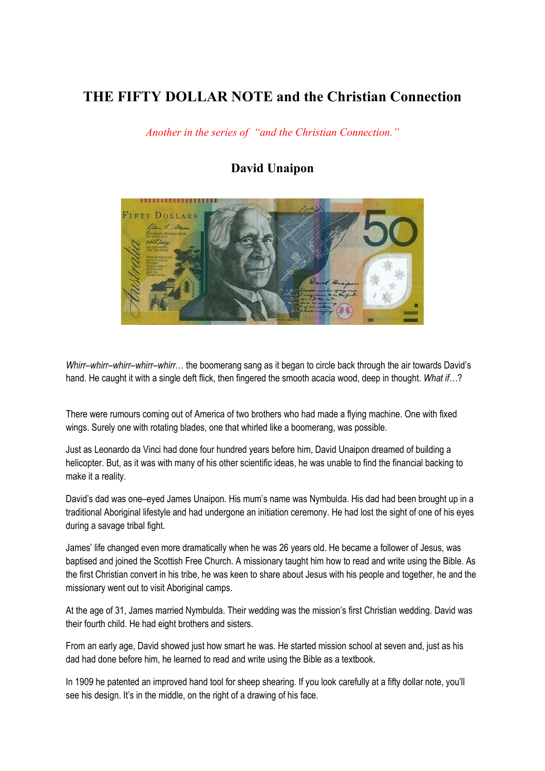## **THE FIFTY DOLLAR NOTE and the Christian Connection**

*Another in the series of "and the Christian Connection."*

## **David Unaipon**



*Whirr–whirr–whirr–whirr–whirr*… the boomerang sang as it began to circle back through the air towards David's hand. He caught it with a single deft flick, then fingered the smooth acacia wood, deep in thought. *What if…*?

There were rumours coming out of America of two brothers who had made a flying machine. One with fixed wings. Surely one with rotating blades, one that whirled like a boomerang, was possible.

Just as Leonardo da Vinci had done four hundred years before him, David Unaipon dreamed of building a helicopter. But, as it was with many of his other scientific ideas, he was unable to find the financial backing to make it a reality.

David's dad was one–eyed James Unaipon. His mum's name was Nymbulda. His dad had been brought up in a traditional Aboriginal lifestyle and had undergone an initiation ceremony. He had lost the sight of one of his eyes during a savage tribal fight.

James' life changed even more dramatically when he was 26 years old. He became a follower of Jesus, was baptised and joined the Scottish Free Church. A missionary taught him how to read and write using the Bible. As the first Christian convert in his tribe, he was keen to share about Jesus with his people and together, he and the missionary went out to visit Aboriginal camps.

At the age of 31, James married Nymbulda. Their wedding was the mission's first Christian wedding. David was their fourth child. He had eight brothers and sisters.

From an early age, David showed just how smart he was. He started mission school at seven and, just as his dad had done before him, he learned to read and write using the Bible as a textbook.

In 1909 he patented an improved hand tool for sheep shearing. If you look carefully at a fifty dollar note, you'll see his design. It's in the middle, on the right of a drawing of his face.